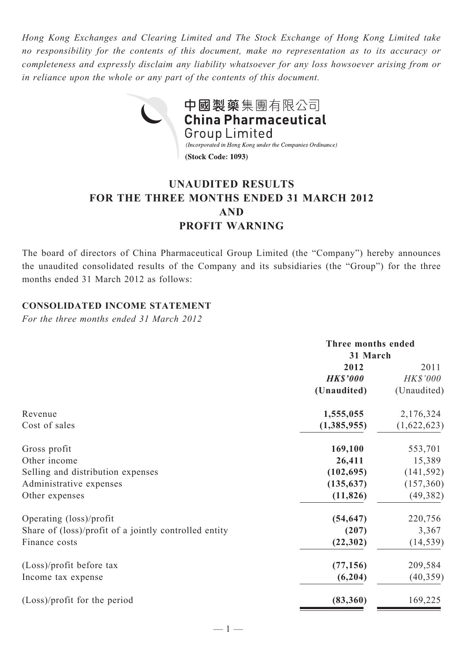*Hong Kong Exchanges and Clearing Limited and The Stock Exchange of Hong Kong Limited take no responsibility for the contents of this document, make no representation as to its accuracy or completeness and expressly disclaim any liability whatsoever for any loss howsoever arising from or in reliance upon the whole or any part of the contents of this document.*



# **UNAUDITED RESULTS FOR THE THREE MONTHS ENDED 31 MARCH 2012 AND PROFIT WARNING**

The board of directors of China Pharmaceutical Group Limited (the "Company") hereby announces the unaudited consolidated results of the Company and its subsidiaries (the "Group") for the three months ended 31 March 2012 as follows:

## **CONSOLIDATED INCOME STATEMENT**

*For the three months ended 31 March 2012*

|                                                       | Three months ended<br>31 March |             |  |
|-------------------------------------------------------|--------------------------------|-------------|--|
|                                                       |                                |             |  |
|                                                       | 2012                           | 2011        |  |
|                                                       | <b>HK\$'000</b>                | HK\$'000    |  |
|                                                       | (Unaudited)                    | (Unaudited) |  |
| Revenue                                               | 1,555,055                      | 2,176,324   |  |
| Cost of sales                                         | (1,385,955)                    | (1,622,623) |  |
| Gross profit                                          | 169,100                        | 553,701     |  |
| Other income                                          | 26,411                         | 15,389      |  |
| Selling and distribution expenses                     | (102, 695)                     | (141, 592)  |  |
| Administrative expenses                               | (135, 637)                     | (157,360)   |  |
| Other expenses                                        | (11, 826)                      | (49, 382)   |  |
| Operating (loss)/profit                               | (54, 647)                      | 220,756     |  |
| Share of (loss)/profit of a jointly controlled entity | (207)                          | 3,367       |  |
| Finance costs                                         | (22, 302)                      | (14, 539)   |  |
| (Loss)/profit before tax                              | (77, 156)                      | 209,584     |  |
| Income tax expense                                    | (6,204)                        | (40, 359)   |  |
| $(Loss)/profit$ for the period                        | (83,360)                       | 169,225     |  |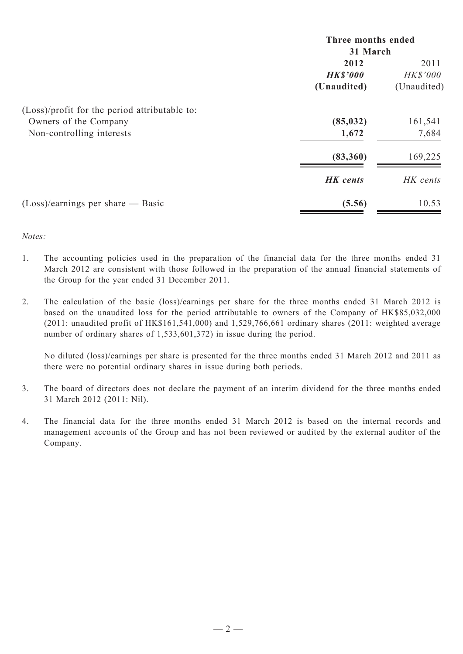|                                               | Three months ended<br>31 March |                 |  |
|-----------------------------------------------|--------------------------------|-----------------|--|
|                                               |                                |                 |  |
|                                               | 2012                           | 2011            |  |
|                                               | <b>HK\$'000</b>                | <b>HK\$'000</b> |  |
|                                               | (Unaudited)                    | (Unaudited)     |  |
| (Loss)/profit for the period attributable to: |                                |                 |  |
| Owners of the Company                         | (85, 032)                      | 161,541         |  |
| Non-controlling interests                     | 1,672                          | 7,684           |  |
|                                               | (83,360)                       | 169,225         |  |
|                                               | <b>HK</b> cents                | HK cents        |  |
| $(Loss)/earnings$ per share — Basic           | (5.56)                         | 10.53           |  |

#### *Notes:*

- 1. The accounting policies used in the preparation of the financial data for the three months ended 31 March 2012 are consistent with those followed in the preparation of the annual financial statements of the Group for the year ended 31 December 2011.
- 2. The calculation of the basic (loss)/earnings per share for the three months ended 31 March 2012 is based on the unaudited loss for the period attributable to owners of the Company of HK\$85,032,000 (2011: unaudited profit of HK\$161,541,000) and 1,529,766,661 ordinary shares (2011: weighted average number of ordinary shares of 1,533,601,372) in issue during the period.

No diluted (loss)/earnings per share is presented for the three months ended 31 March 2012 and 2011 as there were no potential ordinary shares in issue during both periods.

- 3. The board of directors does not declare the payment of an interim dividend for the three months ended 31 March 2012 (2011: Nil).
- 4. The financial data for the three months ended 31 March 2012 is based on the internal records and management accounts of the Group and has not been reviewed or audited by the external auditor of the Company.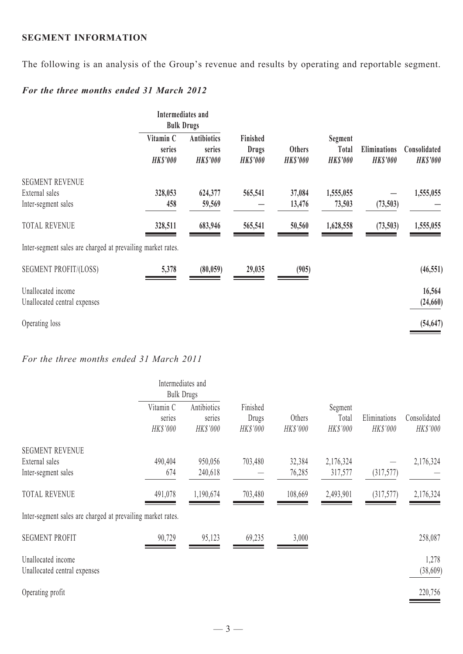## **SEGMENT INFORMATION**

The following is an analysis of the Group's revenue and results by operating and reportable segment.

# *For the three months ended 31 March 2012*

|                                                             | Intermediates and<br><b>Bulk Drugs</b> |                                                 |                                             |        |           |                                  |                                     |                                        |                                 |
|-------------------------------------------------------------|----------------------------------------|-------------------------------------------------|---------------------------------------------|--------|-----------|----------------------------------|-------------------------------------|----------------------------------------|---------------------------------|
|                                                             | Vitamin C<br>series<br><b>HK\$'000</b> | <b>Antibiotics</b><br>series<br><b>HK\$'000</b> | Finished<br><b>Drugs</b><br><b>HK\$'000</b> |        |           | <b>Others</b><br><b>HK\$'000</b> | Segment<br>Total<br><b>HK\$'000</b> | <b>Eliminations</b><br><b>HK\$'000</b> | Consolidated<br><b>HK\$'000</b> |
| <b>SEGMENT REVENUE</b>                                      |                                        |                                                 |                                             |        |           |                                  |                                     |                                        |                                 |
| External sales                                              | 328,053                                | 624,377                                         | 565,541                                     | 37,084 | 1,555,055 |                                  | 1,555,055                           |                                        |                                 |
| Inter-segment sales                                         | 458                                    | 59,569                                          |                                             | 13,476 | 73,503    | (73,503)                         |                                     |                                        |                                 |
| <b>TOTAL REVENUE</b>                                        | 328,511                                | 683,946                                         | 565,541                                     | 50,560 | 1,628,558 | (73,503)                         | 1,555,055                           |                                        |                                 |
| Inter-segment sales are charged at prevailing market rates. |                                        |                                                 |                                             |        |           |                                  |                                     |                                        |                                 |
| <b>SEGMENT PROFIT/(LOSS)</b>                                | 5,378                                  | (80, 059)                                       | 29,035                                      | (905)  |           |                                  | (46, 551)                           |                                        |                                 |
| Unallocated income                                          |                                        |                                                 |                                             |        |           |                                  | 16,564                              |                                        |                                 |
| Unallocated central expenses                                |                                        |                                                 |                                             |        |           |                                  | (24, 660)                           |                                        |                                 |
|                                                             |                                        |                                                 |                                             |        |           |                                  |                                     |                                        |                                 |
| Operating loss                                              |                                        |                                                 |                                             |        |           |                                  | (54, 647)                           |                                        |                                 |
|                                                             |                                        |                                                 |                                             |        |           |                                  |                                     |                                        |                                 |

### *For the three months ended 31 March 2011*

|                                                             | Intermediates and<br><b>Bulk Drugs</b> |                                   |                               |                    |                              |                          |                          |
|-------------------------------------------------------------|----------------------------------------|-----------------------------------|-------------------------------|--------------------|------------------------------|--------------------------|--------------------------|
|                                                             | Vitamin C<br>series<br>HK\$'000        | Antibiotics<br>series<br>HK\$'000 | Finished<br>Drugs<br>HK\$'000 | Others<br>HK\$'000 | Segment<br>Total<br>HK\$'000 | Eliminations<br>HK\$'000 | Consolidated<br>HK\$'000 |
| <b>SEGMENT REVENUE</b>                                      |                                        |                                   |                               |                    |                              |                          |                          |
| External sales                                              | 490,404                                | 950,056                           | 703,480                       | 32,384             | 2,176,324                    |                          | 2,176,324                |
| Inter-segment sales                                         | 674                                    | 240,618                           |                               | 76,285             | 317,577                      | (317,577)                |                          |
| <b>TOTAL REVENUE</b>                                        | 491,078                                | 1,190,674                         | 703,480                       | 108,669            | 2,493,901                    | (317,577)                | 2,176,324                |
| Inter-segment sales are charged at prevailing market rates. |                                        |                                   |                               |                    |                              |                          |                          |
| <b>SEGMENT PROFIT</b>                                       | 90,729                                 | 95,123                            | 69,235                        | 3,000              |                              |                          | 258,087                  |
| Unallocated income<br>Unallocated central expenses          |                                        |                                   |                               |                    |                              |                          | 1,278<br>(38,609)        |
| Operating profit                                            |                                        |                                   |                               |                    |                              |                          | 220,756                  |